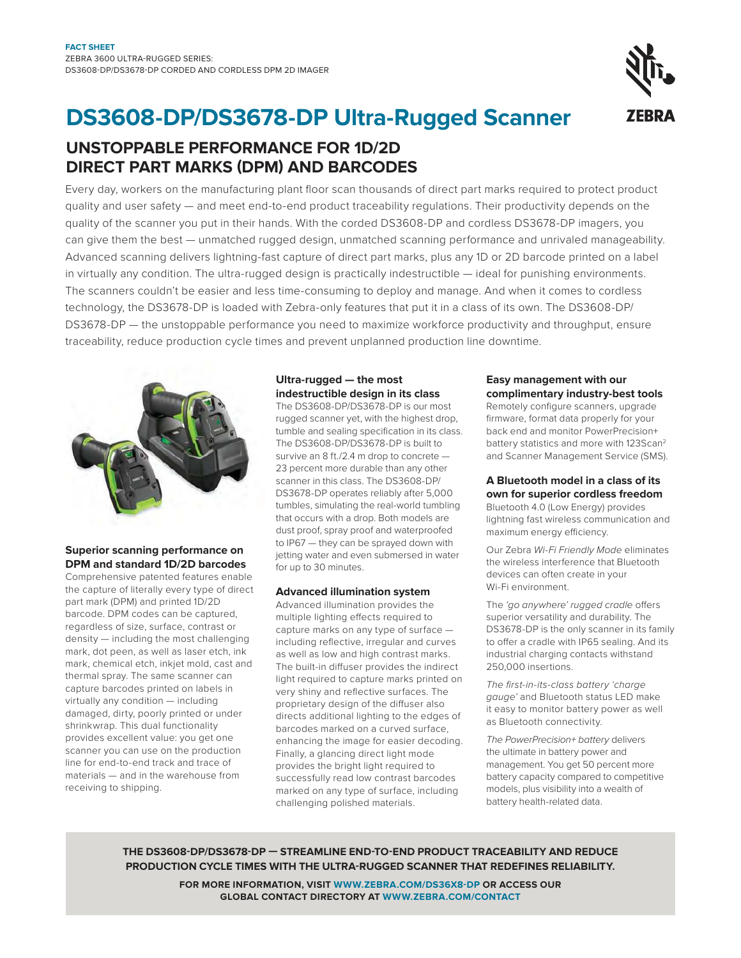# **DS3608-DP/DS3678-DP Ultra-Rugged Scanner**

## **UnSToPPABLE PERFoRMAnCE FoR 1D/2D DIRECT PART MARKS (DPM) AnD BARCoDES**

Every day, workers on the manufacturing plant floor scan thousands of direct part marks required to protect product quality and user safety — and meet end-to-end product traceability regulations. Their productivity depends on the quality of the scanner you put in their hands. With the corded DS3608-DP and cordless DS3678-DP imagers, you can give them the best — unmatched rugged design, unmatched scanning performance and unrivaled manageability. Advanced scanning delivers lightning-fast capture of direct part marks, plus any 1D or 2D barcode printed on a label in virtually any condition. The ultra-rugged design is practically indestructible — ideal for punishing environments. The scanners couldn't be easier and less time-consuming to deploy and manage. And when it comes to cordless technology, the DS3678-DP is loaded with Zebra-only features that put it in a class of its own. The DS3608-DP/ DS3678-DP — the unstoppable performance you need to maximize workforce productivity and throughput, ensure traceability, reduce production cycle times and prevent unplanned production line downtime.



#### **Superior scanning performance on DPM and standard 1D/2D barcodes**

Comprehensive patented features enable the capture of literally every type of direct part mark (DPM) and printed 1D/2D barcode. DPM codes can be captured, regardless of size, surface, contrast or density — including the most challenging mark, dot peen, as well as laser etch, ink mark, chemical etch, inkjet mold, cast and thermal spray. The same scanner can capture barcodes printed on labels in virtually any condition — including damaged, dirty, poorly printed or under shrinkwrap. This dual functionality provides excellent value: you get one scanner you can use on the production line for end-to-end track and trace of materials — and in the warehouse from receiving to shipping.

#### **Ultra-rugged — the most indestructible design in its class**

The DS3608-DP/DS3678-DP is our most rugged scanner yet, with the highest drop, tumble and sealing specification in its class. The DS3608-DP/DS3678-DP is built to survive an 8 ft./2.4 m drop to concrete — 23 percent more durable than any other scanner in this class. The DS3608-DP/ DS3678-DP operates reliably after 5,000 tumbles, simulating the real-world tumbling that occurs with a drop. Both models are dust proof, spray proof and waterproofed to IP67 — they can be sprayed down with jetting water and even submersed in water for up to 30 minutes.

#### **Advanced illumination system**

Advanced illumination provides the multiple lighting effects required to capture marks on any type of surface including reflective, irregular and curves as well as low and high contrast marks. The built-in diffuser provides the indirect light required to capture marks printed on very shiny and reflective surfaces. The proprietary design of the diffuser also directs additional lighting to the edges of barcodes marked on a curved surface, enhancing the image for easier decoding. Finally, a glancing direct light mode provides the bright light required to successfully read low contrast barcodes marked on any type of surface, including challenging polished materials.

#### **Easy management with our complimentary industry-best tools**

Remotely configure scanners, upgrade firmware, format data properly for your back end and monitor PowerPrecision+ battery statistics and more with 123Scan<sup>2</sup> and Scanner Management Service (SMS).

#### **A Bluetooth model in a class of its own for superior cordless freedom**

Bluetooth 4.0 (Low Energy) provides lightning fast wireless communication and maximum energy efficiency.

Our Zebra Wi-Fi Friendly Mode eliminates the wireless interference that Bluetooth devices can often create in your Wi-Fi environment.

The 'go anywhere' rugged cradle offers superior versatility and durability. The DS3678-DP is the only scanner in its family to offer a cradle with IP65 sealing. And its industrial charging contacts withstand 250,000 insertions.

The first-in-its-class battery 'charge gauge' and Bluetooth status LED make it easy to monitor battery power as well as Bluetooth connectivity.

The PowerPrecision+ battery delivers the ultimate in battery power and management. You get 50 percent more battery capacity compared to competitive models, plus visibility into a wealth of battery health-related data.

**THE DS3608-DP/DS3678-DP — STREAMLInE EnD-To-EnD PRoDUCT TRACEABILITY AnD REDUCE PRoDUCTIon CYCLE TIMES WITH THE ULTRA-RUGGED SCAnnER THAT REDEFInES RELIABILITY.**

> **FoR MoRE InFoRMATIon, VISIT WWW.ZEBRA.CoM/DS36X8-DP oR ACCESS oUR GLoBAL ConTACT DIRECToRY AT WWW.ZEBRA.CoM/ConTACT**